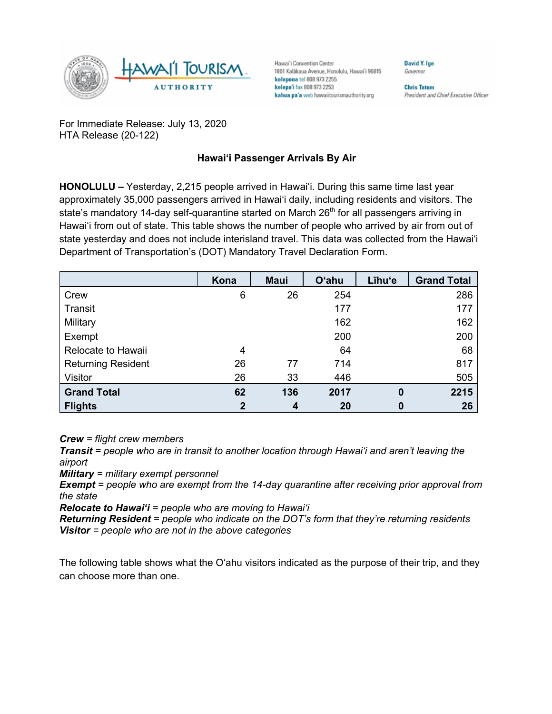

Hawai'i Convention Center 1801 Kalākaua Avenue, Honolulu, Hawai'i 96815 kelepona tel 808 973 2255 kelepa'i fax 808 973 2253 kahua pa'a web hawaiitourismauthority.org

**Chris Tatum** President and Chief Executive Officer

David Y. Ige

Governor

For Immediate Release: July 13, 2020 HTA Release (20-122)

## **Hawai'i Passenger Arrivals By Air**

**HONOLULU –** Yesterday, 2,215 people arrived in Hawai'i. During this same time last year approximately 35,000 passengers arrived in Hawai'i daily, including residents and visitors. The state's mandatory 14-day self-quarantine started on March  $26<sup>th</sup>$  for all passengers arriving in Hawai'i from out of state. This table shows the number of people who arrived by air from out of state yesterday and does not include interisland travel. This data was collected from the Hawai'i Department of Transportation's (DOT) Mandatory Travel Declaration Form.

|                           | Kona           | <b>Maui</b> | <b>O'ahu</b> | Līhu'e   | <b>Grand Total</b> |
|---------------------------|----------------|-------------|--------------|----------|--------------------|
| Crew                      | 6              | 26          | 254          |          | 286                |
| Transit                   |                |             | 177          |          | 177                |
| Military                  |                |             | 162          |          | 162                |
| Exempt                    |                |             | 200          |          | 200                |
| Relocate to Hawaii        | 4              |             | 64           |          | 68                 |
| <b>Returning Resident</b> | 26             | 77          | 714          |          | 817                |
| Visitor                   | 26             | 33          | 446          |          | 505                |
| <b>Grand Total</b>        | 62             | 136         | 2017         | $\bf{0}$ | 2215               |
| <b>Flights</b>            | $\overline{2}$ | 4           | 20           | 0        | 26                 |

*Crew = flight crew members*

*Transit = people who are in transit to another location through Hawai'i and aren't leaving the airport*

*Military = military exempt personnel*

*Exempt = people who are exempt from the 14-day quarantine after receiving prior approval from the state*

*Relocate to Hawai'i = people who are moving to Hawai'i*

*Returning Resident = people who indicate on the DOT's form that they're returning residents Visitor = people who are not in the above categories*

The following table shows what the O'ahu visitors indicated as the purpose of their trip, and they can choose more than one.